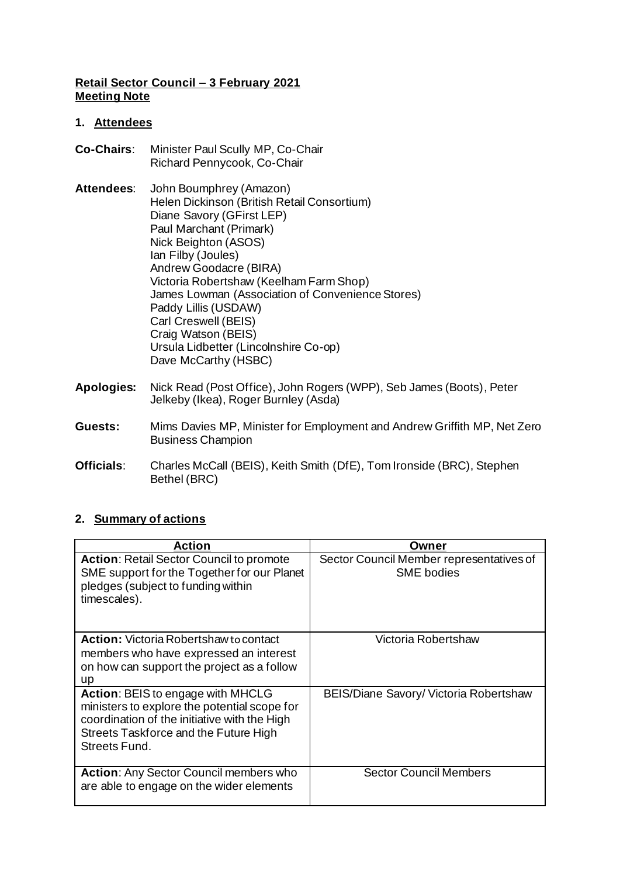### **Retail Sector Council – 3 February 2021 Meeting Note**

### **1. Attendees**

- **Co-Chairs**: Minister Paul Scully MP, Co-Chair Richard Pennycook, Co-Chair
- **Attendees**: John Boumphrey (Amazon) Helen Dickinson (British Retail Consortium) Diane Savory (GFirst LEP) Paul Marchant (Primark) Nick Beighton (ASOS) Ian Filby (Joules) Andrew Goodacre (BIRA) Victoria Robertshaw (Keelham Farm Shop) James Lowman (Association of Convenience Stores) Paddy Lillis (USDAW) Carl Creswell (BEIS) Craig Watson (BEIS) Ursula Lidbetter (Lincolnshire Co-op) Dave McCarthy (HSBC)
- **Apologies:** Nick Read (Post Office), John Rogers (WPP), Seb James (Boots), Peter Jelkeby (Ikea), Roger Burnley (Asda)
- **Guests:** Mims Davies MP, Minister for Employment and Andrew Griffith MP, Net Zero Business Champion
- **Officials**: Charles McCall (BEIS), Keith Smith (DfE), Tom Ironside (BRC), Stephen Bethel (BRC)

# **2. Summary of actions**

| Action                                                                                                                                                                                      | Owner                                                         |
|---------------------------------------------------------------------------------------------------------------------------------------------------------------------------------------------|---------------------------------------------------------------|
| <b>Action: Retail Sector Council to promote</b><br>SME support for the Together for our Planet<br>pledges (subject to funding within<br>timescales).                                        | Sector Council Member representatives of<br><b>SME</b> bodies |
| <b>Action:</b> Victoria Robertshaw to contact<br>members who have expressed an interest<br>on how can support the project as a follow<br>up                                                 | Victoria Robertshaw                                           |
| Action: BEIS to engage with MHCLG<br>ministers to explore the potential scope for<br>coordination of the initiative with the High<br>Streets Taskforce and the Future High<br>Streets Fund. | BEIS/Diane Savory/ Victoria Robertshaw                        |
| <b>Action: Any Sector Council members who</b><br>are able to engage on the wider elements                                                                                                   | <b>Sector Council Members</b>                                 |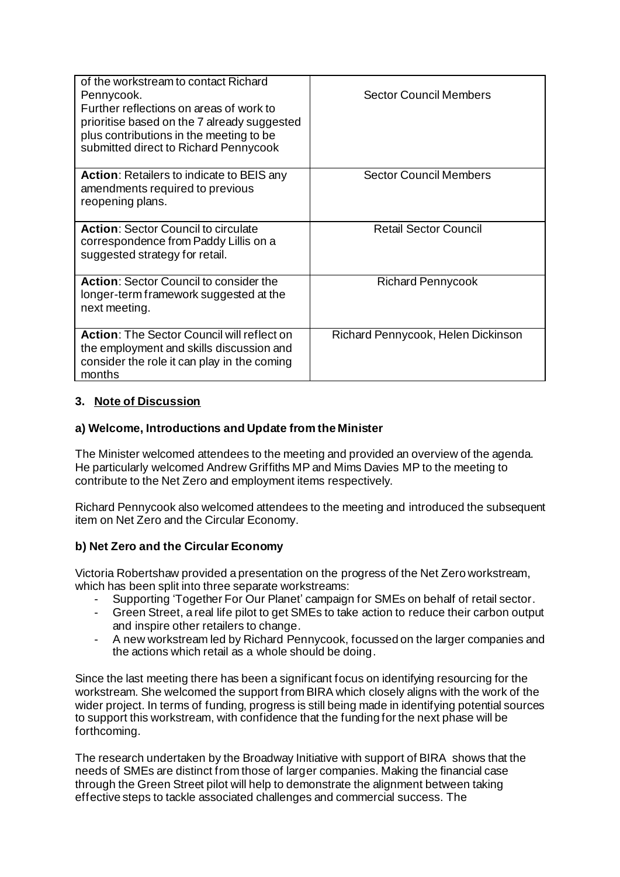| of the workstream to contact Richard<br>Pennycook.<br>Further reflections on areas of work to<br>prioritise based on the 7 already suggested<br>plus contributions in the meeting to be<br>submitted direct to Richard Pennycook | <b>Sector Council Members</b>      |
|----------------------------------------------------------------------------------------------------------------------------------------------------------------------------------------------------------------------------------|------------------------------------|
| <b>Action:</b> Retailers to indicate to BEIS any<br>amendments required to previous<br>reopening plans.                                                                                                                          | <b>Sector Council Members</b>      |
| <b>Action: Sector Council to circulate</b><br>correspondence from Paddy Lillis on a<br>suggested strategy for retail.                                                                                                            | <b>Retail Sector Council</b>       |
| <b>Action: Sector Council to consider the</b><br>longer-term framework suggested at the<br>next meeting.                                                                                                                         | <b>Richard Pennycook</b>           |
| Action: The Sector Council will reflect on<br>the employment and skills discussion and<br>consider the role it can play in the coming<br>months                                                                                  | Richard Pennycook, Helen Dickinson |

# **3. Note of Discussion**

# **a) Welcome, Introductions and Update from the Minister**

The Minister welcomed attendees to the meeting and provided an overview of the agenda. He particularly welcomed Andrew Griffiths MP and Mims Davies MP to the meeting to contribute to the Net Zero and employment items respectively.

Richard Pennycook also welcomed attendees to the meeting and introduced the subsequent item on Net Zero and the Circular Economy.

# **b) Net Zero and the Circular Economy**

Victoria Robertshaw provided a presentation on the progress of the Net Zero workstream, which has been split into three separate workstreams:

- Supporting 'Together For Our Planet' campaign for SMEs on behalf of retail sector.
- Green Street, a real life pilot to get SMEs to take action to reduce their carbon output and inspire other retailers to change.
- A new workstream led by Richard Pennycook, focussed on the larger companies and the actions which retail as a whole should be doing.

Since the last meeting there has been a significant focus on identifying resourcing for the workstream. She welcomed the support from BIRA which closely aligns with the work of the wider project. In terms of funding, progress is still being made in identifying potential sources to support this workstream, with confidence that the funding for the next phase will be forthcoming.

The research undertaken by the Broadway Initiative with support of BIRA shows that the needs of SMEs are distinct from those of larger companies. Making the financial case through the Green Street pilot will help to demonstrate the alignment between taking effective steps to tackle associated challenges and commercial success. The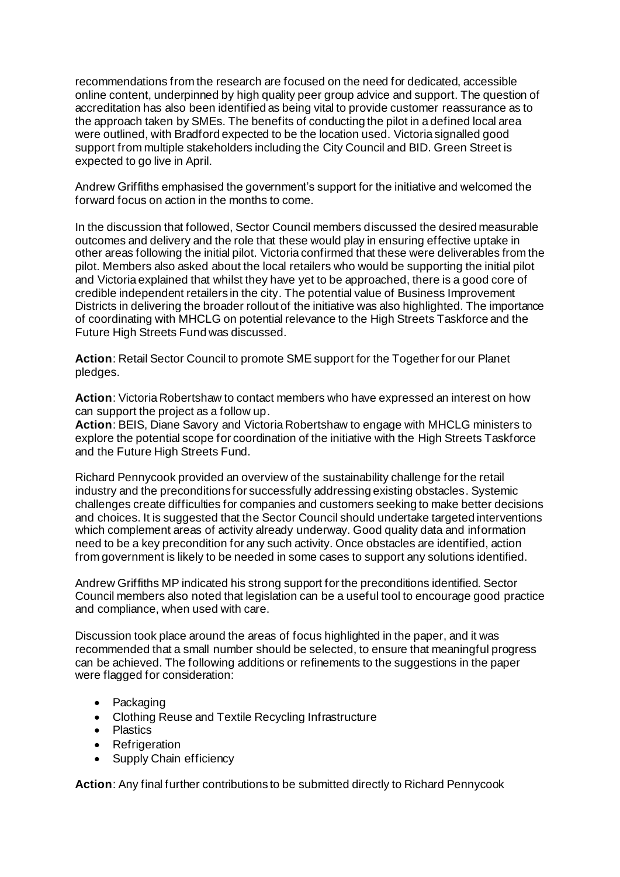recommendations from the research are focused on the need for dedicated, accessible online content, underpinned by high quality peer group advice and support. The question of accreditation has also been identified as being vital to provide customer reassurance as to the approach taken by SMEs. The benefits of conducting the pilot in a defined local area were outlined, with Bradford expected to be the location used. Victoria signalled good support from multiple stakeholders including the City Council and BID. Green Street is expected to go live in April.

Andrew Griffiths emphasised the government's support for the initiative and welcomed the forward focus on action in the months to come.

In the discussion that followed, Sector Council members discussed the desired measurable outcomes and delivery and the role that these would play in ensuring effective uptake in other areas following the initial pilot. Victoria confirmed that these were deliverables from the pilot. Members also asked about the local retailers who would be supporting the initial pilot and Victoria explained that whilst they have yet to be approached, there is a good core of credible independent retailers in the city. The potential value of Business Improvement Districts in delivering the broader rollout of the initiative was also highlighted. The importance of coordinating with MHCLG on potential relevance to the High Streets Taskforce and the Future High Streets Fund was discussed.

**Action**: Retail Sector Council to promote SME support for the Together for our Planet pledges.

**Action**: Victoria Robertshaw to contact members who have expressed an interest on how can support the project as a follow up.

**Action**: BEIS, Diane Savory and Victoria Robertshaw to engage with MHCLG ministers to explore the potential scope for coordination of the initiative with the High Streets Taskforce and the Future High Streets Fund.

Richard Pennycook provided an overview of the sustainability challenge for the retail industry and the preconditions for successfully addressing existing obstacles. Systemic challenges create difficulties for companies and customers seeking to make better decisions and choices. It is suggested that the Sector Council should undertake targeted interventions which complement areas of activity already underway. Good quality data and information need to be a key precondition for any such activity. Once obstacles are identified, action from government is likely to be needed in some cases to support any solutions identified.

Andrew Griffiths MP indicated his strong support for the preconditions identified. Sector Council members also noted that legislation can be a useful tool to encourage good practice and compliance, when used with care.

Discussion took place around the areas of focus highlighted in the paper, and it was recommended that a small number should be selected, to ensure that meaningful progress can be achieved. The following additions or refinements to the suggestions in the paper were flagged for consideration:

- Packaging
- Clothing Reuse and Textile Recycling Infrastructure
- Plastics
- Refrigeration
- Supply Chain efficiency

**Action**: Any final further contributions to be submitted directly to Richard Pennycook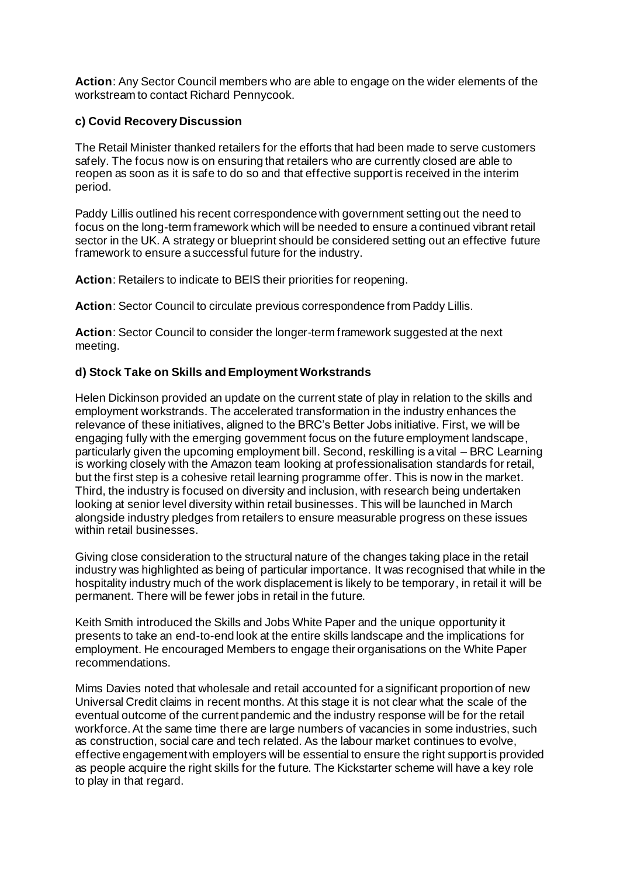**Action**: Any Sector Council members who are able to engage on the wider elements of the workstream to contact Richard Pennycook.

#### **c) Covid Recovery Discussion**

The Retail Minister thanked retailers for the efforts that had been made to serve customers safely. The focus now is on ensuring that retailers who are currently closed are able to reopen as soon as it is safe to do so and that effective support is received in the interim period.

Paddy Lillis outlined his recent correspondence with government setting out the need to focus on the long-term framework which will be needed to ensure a continued vibrant retail sector in the UK. A strategy or blueprint should be considered setting out an effective future framework to ensure a successful future for the industry.

**Action**: Retailers to indicate to BEIS their priorities for reopening.

**Action**: Sector Council to circulate previous correspondence from Paddy Lillis.

**Action**: Sector Council to consider the longer-term framework suggested at the next meeting.

#### **d) Stock Take on Skills and Employment Workstrands**

Helen Dickinson provided an update on the current state of play in relation to the skills and employment workstrands. The accelerated transformation in the industry enhances the relevance of these initiatives, aligned to the BRC's Better Jobs initiative. First, we will be engaging fully with the emerging government focus on the future employment landscape, particularly given the upcoming employment bill. Second, reskilling is a vital – BRC Learning is working closely with the Amazon team looking at professionalisation standards for retail, but the first step is a cohesive retail learning programme offer. This is now in the market. Third, the industry is focused on diversity and inclusion, with research being undertaken looking at senior level diversity within retail businesses. This will be launched in March alongside industry pledges from retailers to ensure measurable progress on these issues within retail businesses.

Giving close consideration to the structural nature of the changes taking place in the retail industry was highlighted as being of particular importance. It was recognised that while in the hospitality industry much of the work displacement is likely to be temporary, in retail it will be permanent. There will be fewer jobs in retail in the future.

Keith Smith introduced the Skills and Jobs White Paper and the unique opportunity it presents to take an end-to-end look at the entire skills landscape and the implications for employment. He encouraged Members to engage their organisations on the White Paper recommendations.

Mims Davies noted that wholesale and retail accounted for a significant proportion of new Universal Credit claims in recent months. At this stage it is not clear what the scale of the eventual outcome of the current pandemic and the industry response will be for the retail workforce. At the same time there are large numbers of vacancies in some industries, such as construction, social care and tech related. As the labour market continues to evolve, effective engagement with employers will be essential to ensure the right support is provided as people acquire the right skills for the future. The Kickstarter scheme will have a key role to play in that regard.